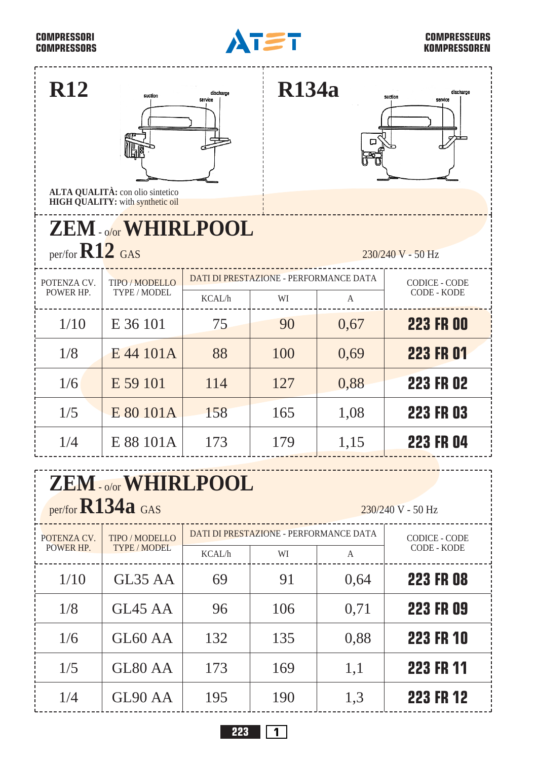## **COMPRESSORI COMPRESSORS**

1/6

GL60 AA

GL80 AA

GL90 AA

1/5

1/4



## **COMPRESSEURS KOMPRESSOREN**

**223 FR 10**

**223 FR 11**

**223 FR 12**

| <b>R12</b>                                                          | suction<br>ALTA QUALITÀ: con olio sintetico<br><b>HIGH QUALITY:</b> with synthetic oil | discharge<br>service                   | <b>R134a</b>                                 | о                                   | discharge<br>suction<br>service            |  |  |  |
|---------------------------------------------------------------------|----------------------------------------------------------------------------------------|----------------------------------------|----------------------------------------------|-------------------------------------|--------------------------------------------|--|--|--|
| <b>ZEM - o/or WHIRLPOOL</b>                                         |                                                                                        |                                        |                                              |                                     |                                            |  |  |  |
| per/for $R12$ GAS<br>230/240 V - 50 Hz                              |                                                                                        |                                        |                                              |                                     |                                            |  |  |  |
| POTENZA CV.<br>POWER HP.                                            | TIPO / MODELLO<br>TYPE / MODEL                                                         | KCAL/h                                 | DATI DI PRESTAZIONE - PERFORMANCE DATA<br>WI | $\overline{A}$                      | <b>CODICE - CODE</b><br><b>CODE - KODE</b> |  |  |  |
| 1/10                                                                | E 36 101                                                                               | 75                                     | 90                                           | 0,67                                | <b>223 FR 00</b>                           |  |  |  |
| 1/8                                                                 | E 44 101A                                                                              | 88                                     | 100                                          | 0,69                                | <b>223 FR 01</b>                           |  |  |  |
| 1/6                                                                 | E 59 101                                                                               | 114                                    | 127                                          | 0,88                                | <b>223 FR 02</b>                           |  |  |  |
| 1/5                                                                 | E 80 101A                                                                              | 158                                    | 165                                          | 1,08                                | <b>223 FR 03</b>                           |  |  |  |
| 1/4                                                                 | E 88 101A                                                                              | 173                                    | 179                                          | 1,15                                | <b>223 FR 04</b>                           |  |  |  |
| ZEM-o/or WHIRLPOOL<br>per/for <b>R134a</b> GAS<br>230/240 V - 50 Hz |                                                                                        |                                        |                                              |                                     |                                            |  |  |  |
| POTENZA CV.<br>POWER HP.                                            | TIPO / MODELLO<br><b>TYPE / MODEL</b>                                                  | DATI DI PRESTAZIONE - PERFORMANCE DATA |                                              | <b>CODICE - CODE</b><br>CODE - KODE |                                            |  |  |  |
|                                                                     |                                                                                        | KCAL/h                                 | WI                                           | A                                   |                                            |  |  |  |
| 1/10                                                                | GL35 AA                                                                                | 69                                     | 91                                           | 0,64                                | <b>223 FR 08</b>                           |  |  |  |
| 1/8                                                                 | GL45 AA                                                                                | 96                                     | 106                                          | 0,71                                | 223 FR 09                                  |  |  |  |

**223 1**

132

173

195

135

0,88

1,1

1,3

169

190